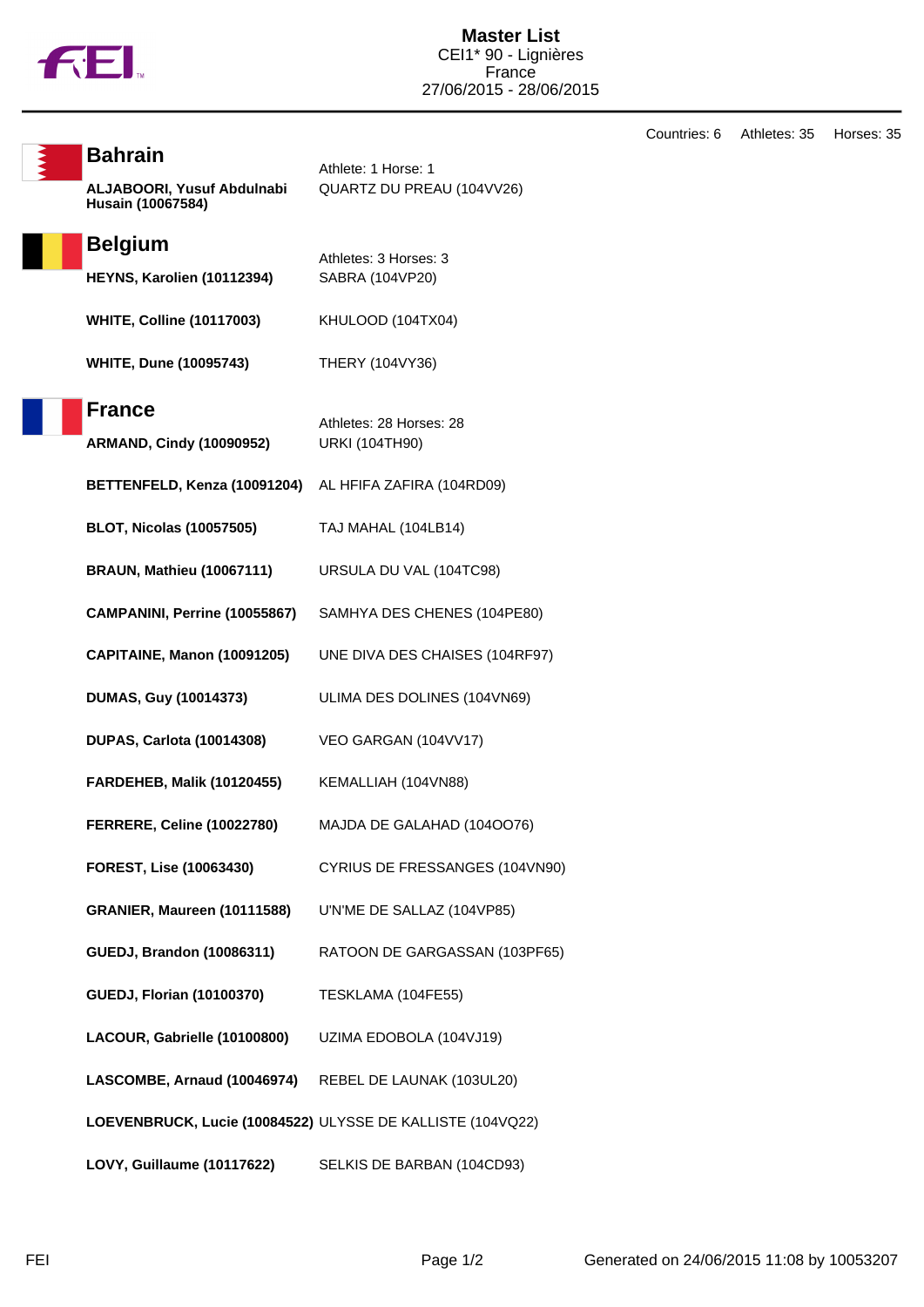

Countries: 6 Athletes: 35 Horses: 35

| <b>Bahrain</b>                                             | Athlete: 1 Horse: 1                              |
|------------------------------------------------------------|--------------------------------------------------|
| ALJABOORI, Yusuf Abdulnabi<br>Husain (10067584)            | QUARTZ DU PREAU (104VV26)                        |
| <b>Belgium</b>                                             | Athletes: 3 Horses: 3                            |
| HEYNS, Karolien (10112394)                                 | SABRA (104VP20)                                  |
| <b>WHITE, Colline (10117003)</b>                           | KHULOOD (104TX04)                                |
| <b>WHITE, Dune (10095743)</b>                              | THERY (104VY36)                                  |
| <b>France</b>                                              |                                                  |
| <b>ARMAND, Cindy (10090952)</b>                            | Athletes: 28 Horses: 28<br><b>URKI (104TH90)</b> |
| BETTENFELD, Kenza (10091204)                               | AL HFIFA ZAFIRA (104RD09)                        |
| <b>BLOT, Nicolas (10057505)</b>                            | TAJ MAHAL (104LB14)                              |
| <b>BRAUN, Mathieu (10067111)</b>                           | URSULA DU VAL (104TC98)                          |
| CAMPANINI, Perrine (10055867)                              | SAMHYA DES CHENES (104PE80)                      |
| <b>CAPITAINE, Manon (10091205)</b>                         | UNE DIVA DES CHAISES (104RF97)                   |
| <b>DUMAS, Guy (10014373)</b>                               | ULIMA DES DOLINES (104VN69)                      |
| <b>DUPAS, Carlota (10014308)</b>                           | VEO GARGAN (104VV17)                             |
| <b>FARDEHEB, Malik (10120455)</b>                          | KEMALLIAH (104VN88)                              |
| <b>FERRERE, Celine (10022780)</b>                          | MAJDA DE GALAHAD (1040076)                       |
| FOREST, Lise (10063430)                                    | CYRIUS DE FRESSANGES (104VN90)                   |
| GRANIER, Maureen (10111588)                                | U'N'ME DE SALLAZ (104VP85)                       |
| <b>GUEDJ, Brandon (10086311)</b>                           | RATOON DE GARGASSAN (103PF65)                    |
| <b>GUEDJ, Florian (10100370)</b>                           | TESKLAMA (104FE55)                               |
| LACOUR, Gabrielle (10100800)                               | UZIMA EDOBOLA (104VJ19)                          |
| LASCOMBE, Arnaud (10046974)                                | REBEL DE LAUNAK (103UL20)                        |
| LOEVENBRUCK, Lucie (10084522) ULYSSE DE KALLISTE (104VQ22) |                                                  |
| LOVY, Guillaume (10117622)                                 | SELKIS DE BARBAN (104CD93)                       |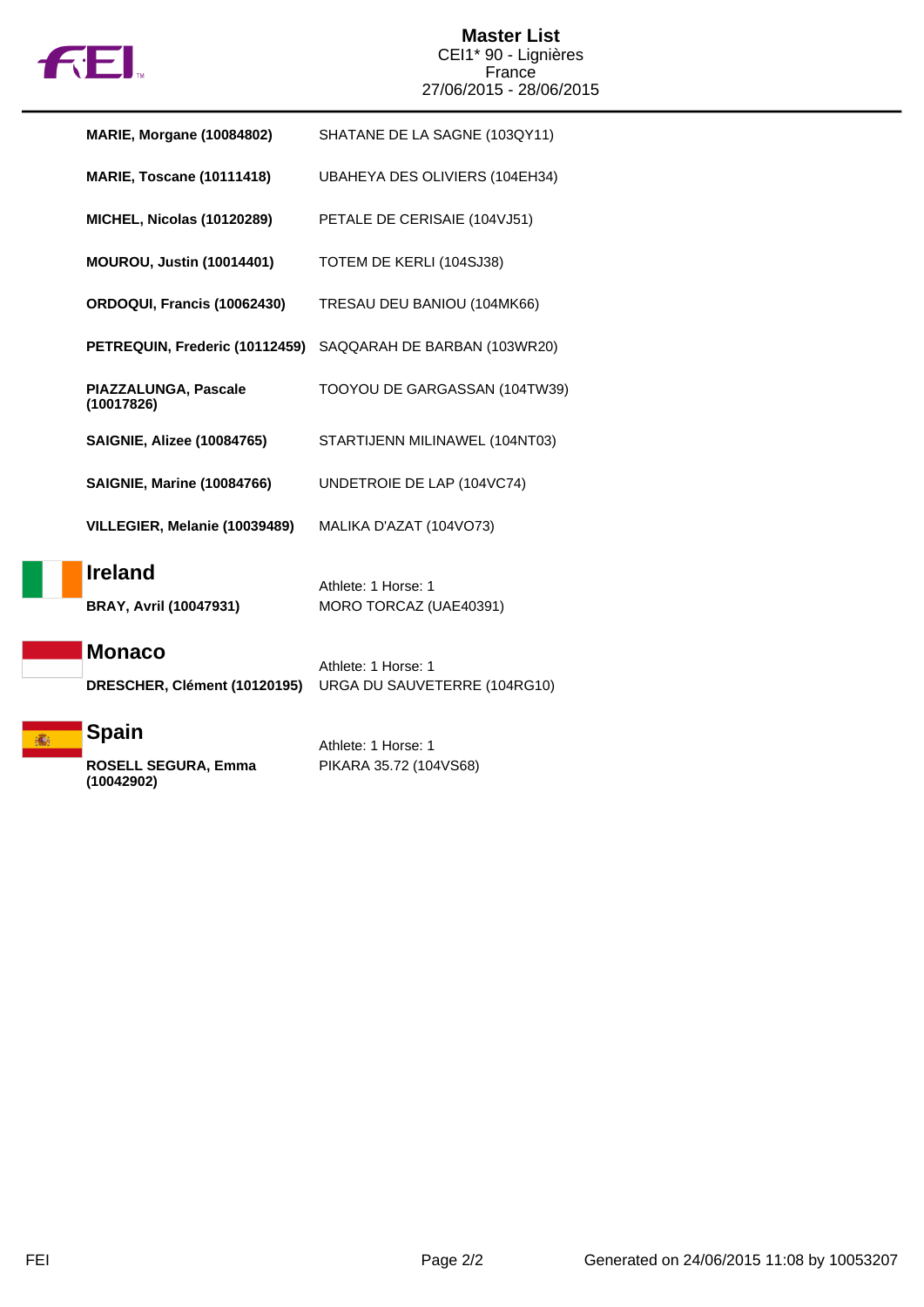

### **Master List** CEI1\* 90 - Lignières France 27/06/2015 - 28/06/2015

| <b>MARIE, Morgane (10084802)</b>                | SHATANE DE LA SAGNE (103QY11)                 |
|-------------------------------------------------|-----------------------------------------------|
| <b>MARIE, Toscane (10111418)</b>                | UBAHEYA DES OLIVIERS (104EH34)                |
| <b>MICHEL, Nicolas (10120289)</b>               | PETALE DE CERISAIE (104VJ51)                  |
| <b>MOUROU, Justin (10014401)</b>                | TOTEM DE KERLI (104SJ38)                      |
| ORDOQUI, Francis (10062430)                     | TRESAU DEU BANIOU (104MK66)                   |
| PETREQUIN, Frederic (10112459)                  | SAQQARAH DE BARBAN (103WR20)                  |
| PIAZZALUNGA, Pascale<br>(10017826)              | TOOYOU DE GARGASSAN (104TW39)                 |
| <b>SAIGNIE, Alizee (10084765)</b>               | STARTIJENN MILINAWEL (104NT03)                |
| <b>SAIGNIE, Marine (10084766)</b>               | UNDETROIE DE LAP (104VC74)                    |
| VILLEGIER, Melanie (10039489)                   | MALIKA D'AZAT (104VO73)                       |
| <b>Ireland</b><br><b>BRAY, Avril (10047931)</b> | Athlete: 1 Horse: 1<br>MORO TORCAZ (UAE40391) |
| <b>Monaco</b>                                   | Athlete: 1 Horse: 1                           |
| DRESCHER, Clément (10120195)                    | URGA DU SAUVETERRE (104RG10)                  |
| <b>Spain</b>                                    | Athlete: 1 Horse: 1                           |
| <b>ROSELL SEGURA, Emma</b>                      | PIKARA 35.72 (104VS68)                        |

**ROSELL SEGURA, Emma (10042902)**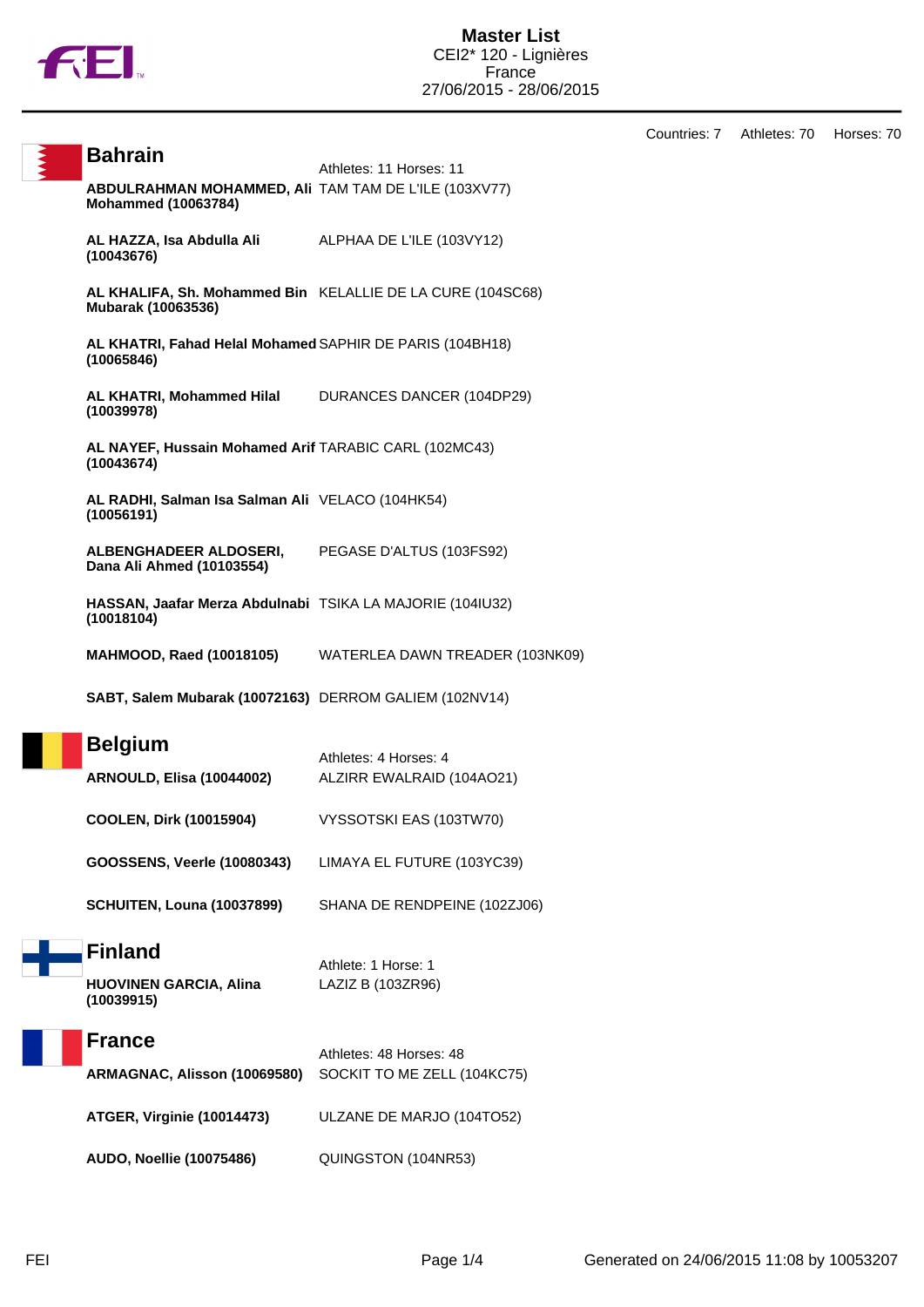

Countries: 7 Athletes: 70 Horses: 70

| <b>Bahrain</b>                                                                     | Athletes: 11 Horses: 11                                         |
|------------------------------------------------------------------------------------|-----------------------------------------------------------------|
| ABDULRAHMAN MOHAMMED, AII TAM TAM DE L'ILE (103XV77)<br><b>Mohammed (10063784)</b> |                                                                 |
| <b>AL HAZZA, Isa Abdulla Ali</b> ALPHAA DE L'ILE (103VY12)<br>(10043676)           |                                                                 |
| Mubarak (10063536)                                                                 | AL KHALIFA, Sh. Mohammed Bin KELALLIE DE LA CURE (104SC68)      |
| AL KHATRI, Fahad Helal Mohamed SAPHIR DE PARIS (104BH18)<br>(10065846)             |                                                                 |
| AL KHATRI, Mohammed Hilal DURANCES DANCER (104DP29)<br>(10039978)                  |                                                                 |
| AL NAYEF, Hussain Mohamed Arif TARABIC CARL (102MC43)<br>(10043674)                |                                                                 |
| AL RADHI, Salman Isa Salman Ali VELACO (104HK54)<br>(10056191)                     |                                                                 |
| <b>ALBENGHADEER ALDOSERI,</b><br>Dana Ali Ahmed (10103554)                         | PEGASE D'ALTUS (103FS92)                                        |
| HASSAN, Jaafar Merza Abdulnabi TSIKA LA MAJORIE (104IU32)<br>(10018104)            |                                                                 |
|                                                                                    | <b>MAHMOOD, Raed (10018105)</b> WATERLEA DAWN TREADER (103NK09) |
| SABT, Salem Mubarak (10072163) DERROM GALIEM (102NV14)                             |                                                                 |
| <b>Belgium</b><br><b>ARNOULD, Elisa (10044002)</b>                                 | Athletes: 4 Horses: 4<br>ALZIRR EWALRAID (104AO21)              |
| <b>COOLEN, Dirk (10015904)</b>                                                     | VYSSOTSKI EAS (103TW70)                                         |
| GOOSSENS, Veerle (10080343)                                                        | LIMAYA EL FUTURE (103YC39)                                      |
| <b>SCHUITEN, Louna (10037899)</b>                                                  | SHANA DE RENDPEINE (102ZJ06)                                    |
| <b>Finland</b><br><b>HUOVINEN GARCIA, Alina</b><br>(10039915)                      | Athlete: 1 Horse: 1<br>LAZIZ B (103ZR96)                        |

| <b>France</b>                                            |                         |
|----------------------------------------------------------|-------------------------|
|                                                          | Athletes: 48 Horses: 48 |
| ARMAGNAC, Alisson (10069580) SOCKIT TO ME ZELL (104KC75) |                         |
|                                                          |                         |
|                                                          |                         |

**ATGER, Virginie (10014473)** ULZANE DE MARJO (104TO52)

**AUDO, Noellie (10075486)** QUINGSTON (104NR53)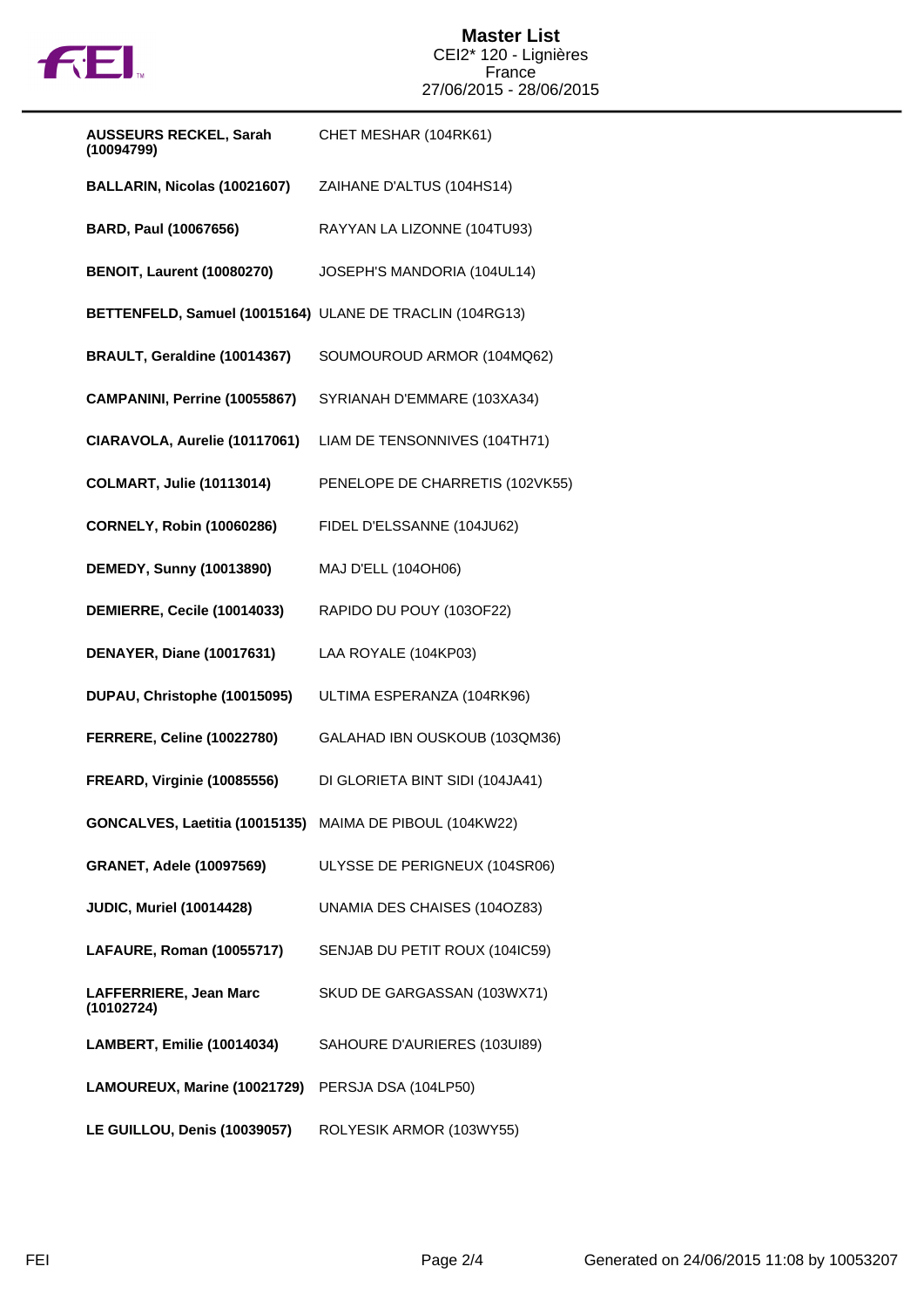

#### **Master List** CEI2\* 120 - Lignières France 27/06/2015 - 28/06/2015

| <b>AUSSEURS RECKEL, Sarah</b><br>(10094799)              | CHET MESHAR (104RK61)           |
|----------------------------------------------------------|---------------------------------|
| BALLARIN, Nicolas (10021607)                             | ZAIHANE D'ALTUS (104HS14)       |
| BARD, Paul (10067656)                                    | RAYYAN LA LIZONNE (104TU93)     |
| <b>BENOIT, Laurent (10080270)</b>                        | JOSEPH'S MANDORIA (104UL14)     |
| BETTENFELD, Samuel (10015164) ULANE DE TRACLIN (104RG13) |                                 |
| BRAULT, Geraldine (10014367)                             | SOUMOUROUD ARMOR (104MQ62)      |
| CAMPANINI, Perrine (10055867)                            | SYRIANAH D'EMMARE (103XA34)     |
| CIARAVOLA, Aurelie (10117061)                            | LIAM DE TENSONNIVES (104TH71)   |
| <b>COLMART, Julie (10113014)</b>                         | PENELOPE DE CHARRETIS (102VK55) |
| <b>CORNELY, Robin (10060286)</b>                         | FIDEL D'ELSSANNE (104JU62)      |
| <b>DEMEDY, Sunny (10013890)</b>                          | MAJ D'ELL (104OH06)             |
| DEMIERRE, Cecile (10014033)                              | RAPIDO DU POUY (103OF22)        |
| DENAYER, Diane (10017631)                                | LAA ROYALE (104KP03)            |
| DUPAU, Christophe (10015095)                             | ULTIMA ESPERANZA (104RK96)      |
| <b>FERRERE, Celine (10022780)</b>                        | GALAHAD IBN OUSKOUB (103QM36)   |
| <b>FREARD, Virginie (10085556)</b>                       | DI GLORIETA BINT SIDI (104JA41) |
| GONCALVES, Laetitia (10015135) MAIMA DE PIBOUL (104KW22) |                                 |
| <b>GRANET, Adele (10097569)</b>                          | ULYSSE DE PERIGNEUX (104SR06)   |
| <b>JUDIC, Muriel (10014428)</b>                          | UNAMIA DES CHAISES (104OZ83)    |
| LAFAURE, Roman (10055717)                                | SENJAB DU PETIT ROUX (104IC59)  |
| LAFFERRIERE, Jean Marc<br>(10102724)                     | SKUD DE GARGASSAN (103WX71)     |
| LAMBERT, Emilie (10014034)                               | SAHOURE D'AURIERES (103UI89)    |
| LAMOUREUX, Marine (10021729)                             | PERSJA DSA (104LP50)            |
| LE GUILLOU, Denis (10039057)                             | ROLYESIK ARMOR (103WY55)        |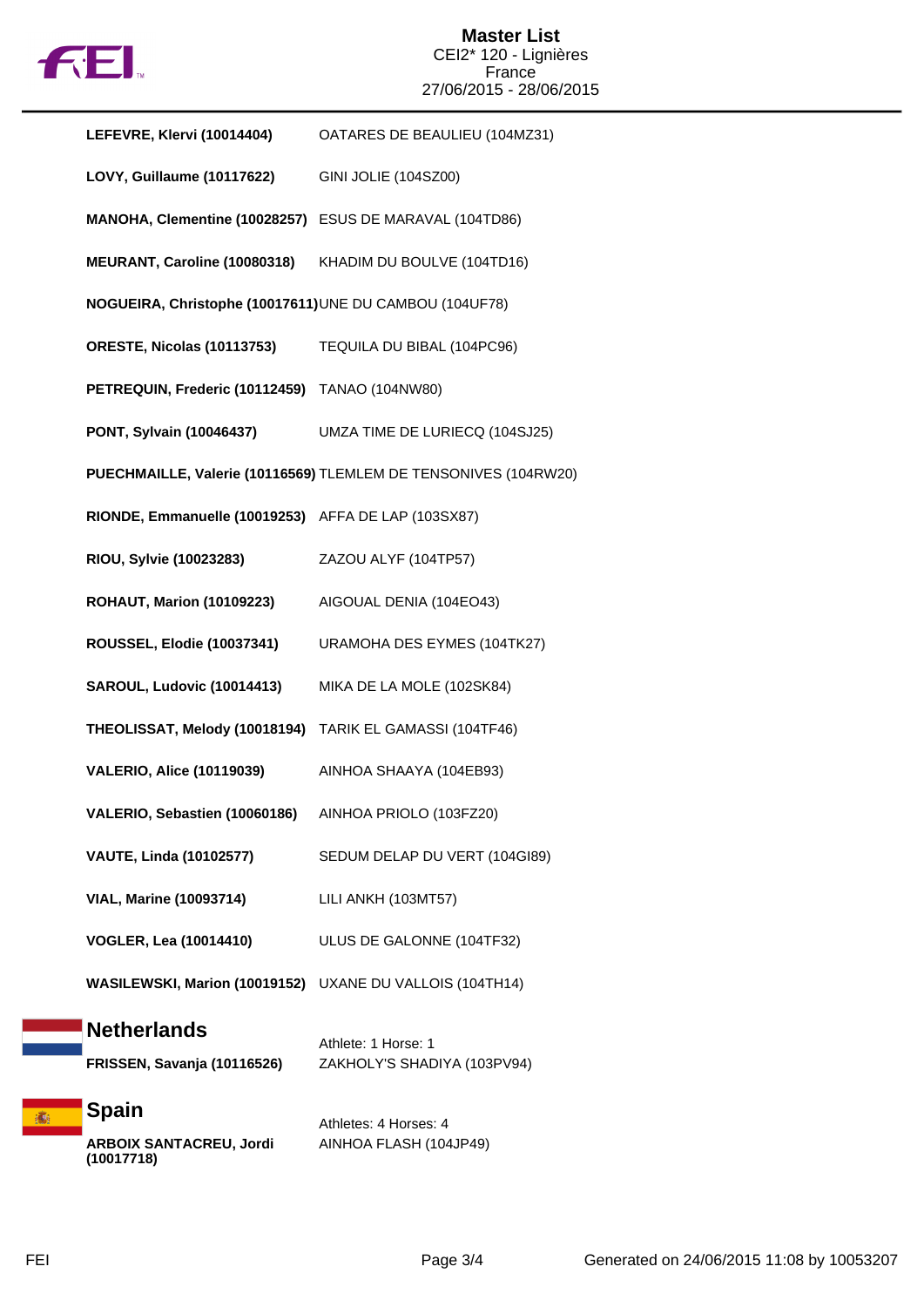

#### **Master List** CEI2\* 120 - Lignières France 27/06/2015 - 28/06/2015

| LEFEVRE, Klervi (10014404)                                   | OATARES DE BEAULIEU (104MZ31)                                   |
|--------------------------------------------------------------|-----------------------------------------------------------------|
| LOVY, Guillaume (10117622)                                   | <b>GINI JOLIE (104SZ00)</b>                                     |
| MANOHA, Clementine (10028257) ESUS DE MARAVAL (104TD86)      |                                                                 |
| MEURANT, Caroline (10080318)                                 | KHADIM DU BOULVE (104TD16)                                      |
| NOGUEIRA, Christophe (10017611) UNE DU CAMBOU (104UF78)      |                                                                 |
| ORESTE, Nicolas (10113753)                                   | TEQUILA DU BIBAL (104PC96)                                      |
| PETREQUIN, Frederic (10112459) TANAO (104NW80)               |                                                                 |
| PONT, Sylvain (10046437)                                     | UMZA TIME DE LURIECQ (104SJ25)                                  |
|                                                              | PUECHMAILLE, Valerie (10116569) TLEMLEM DE TENSONIVES (104RW20) |
| RIONDE, Emmanuelle (10019253) AFFA DE LAP (103SX87)          |                                                                 |
| RIOU, Sylvie (10023283)                                      | ZAZOU ALYF (104TP57)                                            |
| <b>ROHAUT, Marion (10109223)</b>                             | AIGOUAL DENIA (104EO43)                                         |
| <b>ROUSSEL, Elodie (10037341)</b>                            | URAMOHA DES EYMES (104TK27)                                     |
| SAROUL, Ludovic (10014413)                                   | MIKA DE LA MOLE (102SK84)                                       |
| THEOLISSAT, Melody (10018194) TARIK EL GAMASSI (104TF46)     |                                                                 |
| <b>VALERIO, Alice (10119039)</b>                             | AINHOA SHAAYA (104EB93)                                         |
| VALERIO, Sebastien (10060186)                                | AINHOA PRIOLO (103FZ20)                                         |
| <b>VAUTE, Linda (10102577)</b>                               | SEDUM DELAP DU VERT (104GI89)                                   |
| <b>VIAL, Marine (10093714)</b>                               | LILI ANKH (103MT57)                                             |
| <b>VOGLER, Lea (10014410)</b>                                | ULUS DE GALONNE (104TF32)                                       |
|                                                              | WASILEWSKI, Marion (10019152) UXANE DU VALLOIS (104TH14)        |
| <b>Netherlands</b><br>FRISSEN, Savanja (10116526)            | Athlete: 1 Horse: 1<br>ZAKHOLY'S SHADIYA (103PV94)              |
| <b>Spain</b><br><b>ARBOIX SANTACREU, Jordi</b><br>(10017718) | Athletes: 4 Horses: 4<br>AINHOA FLASH (104JP49)                 |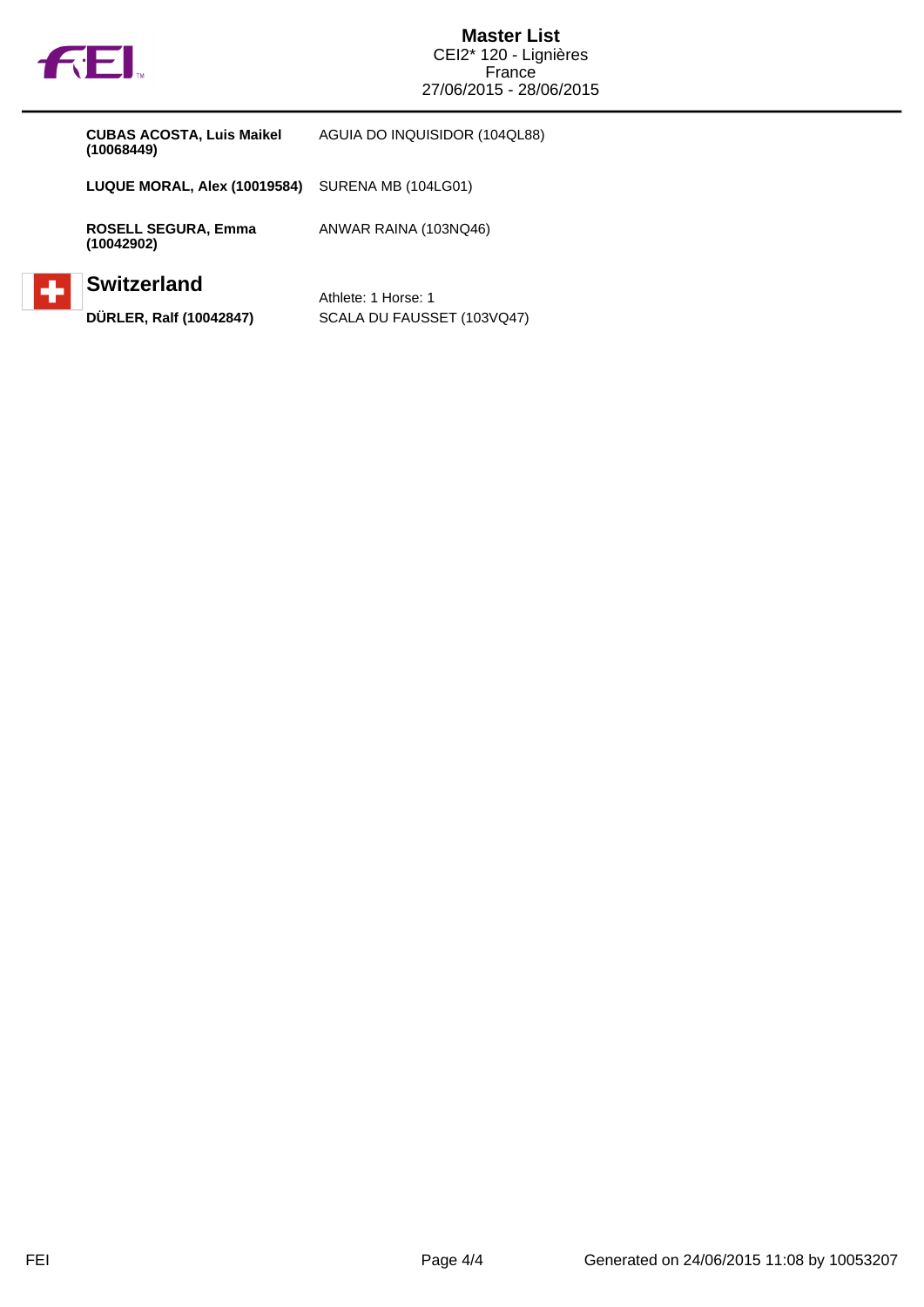

#### **Master List** CEI2\* 120 - Lignières **France** 27/06/2015 - 28/06/2015

**LUQUE MORAL, Alex (10019584)** SURENA MB (104LG01)

**ROSELL SEGURA, Emma (10042902)**

## **Switzerland**

Athlete: 1 Horse: 1 **DÜRLER, Ralf (10042847)** SCALA DU FAUSSET (103VQ47)

ANWAR RAINA (103NQ46)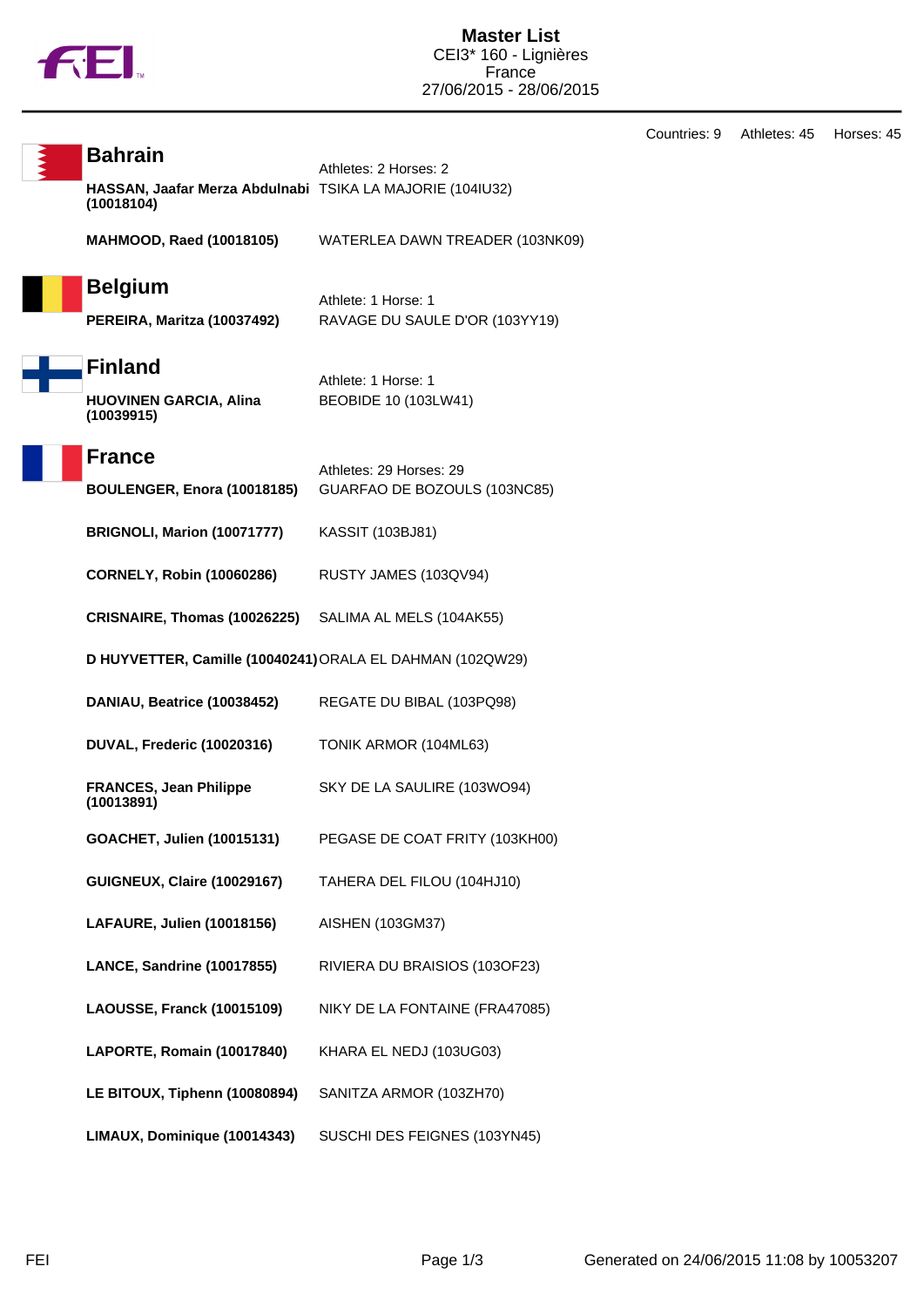

Countries: 9 Athletes: 45 Horses: 45

| <b>Bahrain</b>                                                          | Athletes: 2 Horses: 2                                   |
|-------------------------------------------------------------------------|---------------------------------------------------------|
| HASSAN, Jaafar Merza Abdulnabi TSIKA LA MAJORIE (104IU32)<br>(10018104) |                                                         |
| <b>MAHMOOD, Raed (10018105)</b>                                         | WATERLEA DAWN TREADER (103NK09)                         |
| <b>Belgium</b>                                                          | Athlete: 1 Horse: 1                                     |
| PEREIRA, Maritza (10037492)                                             | RAVAGE DU SAULE D'OR (103YY19)                          |
| <b>Finland</b>                                                          | Athlete: 1 Horse: 1                                     |
| <b>HUOVINEN GARCIA, Alina</b><br>(10039915)                             | BEOBIDE 10 (103LW41)                                    |
| <b>France</b>                                                           |                                                         |
| BOULENGER, Enora (10018185)                                             | Athletes: 29 Horses: 29<br>GUARFAO DE BOZOULS (103NC85) |
| BRIGNOLI, Marion (10071777)                                             | <b>KASSIT (103BJ81)</b>                                 |
| <b>CORNELY, Robin (10060286)</b>                                        | RUSTY JAMES (103QV94)                                   |
| CRISNAIRE, Thomas (10026225)                                            | SALIMA AL MELS (104AK55)                                |
| D HUYVETTER, Camille (10040241) ORALA EL DAHMAN (102QW29)               |                                                         |
| DANIAU, Beatrice (10038452)                                             | REGATE DU BIBAL (103PQ98)                               |
| DUVAL, Frederic (10020316)                                              | TONIK ARMOR (104ML63)                                   |
| <b>FRANCES, Jean Philippe</b><br>(10013891)                             | SKY DE LA SAULIRE (103WO94)                             |
| GOACHET, Julien (10015131)                                              | PEGASE DE COAT FRITY (103KH00)                          |
| <b>GUIGNEUX, Claire (10029167)</b>                                      | TAHERA DEL FILOU (104HJ10)                              |
| LAFAURE, Julien (10018156)                                              | AISHEN (103GM37)                                        |
| LANCE, Sandrine (10017855)                                              | RIVIERA DU BRAISIOS (103OF23)                           |
| <b>LAOUSSE, Franck (10015109)</b>                                       | NIKY DE LA FONTAINE (FRA47085)                          |
| LAPORTE, Romain (10017840)                                              | KHARA EL NEDJ (103UG03)                                 |
| LE BITOUX, Tiphenn (10080894)                                           | SANITZA ARMOR (103ZH70)                                 |
| LIMAUX, Dominique (10014343)                                            | SUSCHI DES FEIGNES (103YN45)                            |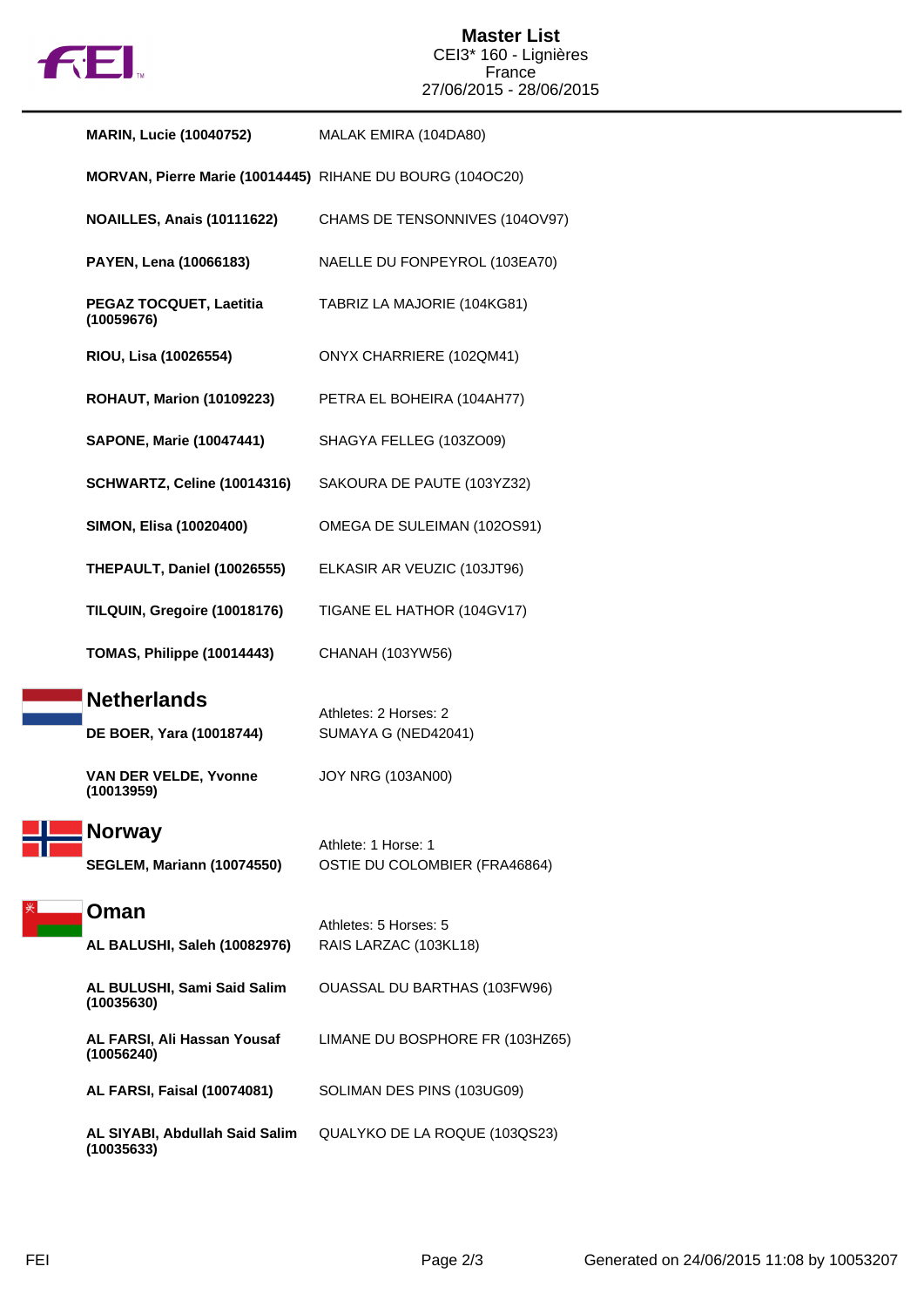

#### **Master List** CEI3\* 160 - Lignières France 27/06/2015 - 28/06/2015

| <b>MARIN, Lucie (10040752)</b>                            | MALAK EMIRA (104DA80)                                |
|-----------------------------------------------------------|------------------------------------------------------|
| MORVAN, Pierre Marie (10014445) RIHANE DU BOURG (104OC20) |                                                      |
| NOAILLES, Anais (10111622)                                | CHAMS DE TENSONNIVES (104OV97)                       |
| PAYEN, Lena (10066183)                                    | NAELLE DU FONPEYROL (103EA70)                        |
| PEGAZ TOCQUET, Laetitia<br>(10059676)                     | TABRIZ LA MAJORIE (104KG81)                          |
| RIOU, Lisa (10026554)                                     | ONYX CHARRIERE (102QM41)                             |
| <b>ROHAUT, Marion (10109223)</b>                          | PETRA EL BOHEIRA (104AH77)                           |
| <b>SAPONE, Marie (10047441)</b>                           | SHAGYA FELLEG (103ZO09)                              |
| SCHWARTZ, Celine (10014316)                               | SAKOURA DE PAUTE (103YZ32)                           |
| SIMON, Elisa (10020400)                                   | OMEGA DE SULEIMAN (102OS91)                          |
| THEPAULT, Daniel (10026555)                               | ELKASIR AR VEUZIC (103JT96)                          |
| TILQUIN, Gregoire (10018176)                              | TIGANE EL HATHOR (104GV17)                           |
| TOMAS, Philippe (10014443)                                | CHANAH (103YW56)                                     |
| <b>Netherlands</b><br>DE BOER, Yara (10018744)            | Athletes: 2 Horses: 2<br>SUMAYA G (NED42041)         |
| <b>VAN DER VELDE, Yvonne</b><br>(10013959)                | <b>JOY NRG (103AN00)</b>                             |
| <b>Norway</b><br><b>SEGLEM, Mariann (10074550)</b>        | Athlete: 1 Horse: 1<br>OSTIE DU COLOMBIER (FRA46864) |
| Oman                                                      | Athletes: 5 Horses: 5                                |
| AL BALUSHI, Saleh (10082976)                              | RAIS LARZAC (103KL18)                                |
| AL BULUSHI, Sami Said Salim<br>(10035630)                 | OUASSAL DU BARTHAS (103FW96)                         |
| AL FARSI, Ali Hassan Yousaf<br>(10056240)                 | LIMANE DU BOSPHORE FR (103HZ65)                      |
| <b>AL FARSI, Faisal (10074081)</b>                        | SOLIMAN DES PINS (103UG09)                           |
| AL SIYABI, Abdullah Said Salim<br>(10035633)              | QUALYKO DE LA ROQUE (103QS23)                        |